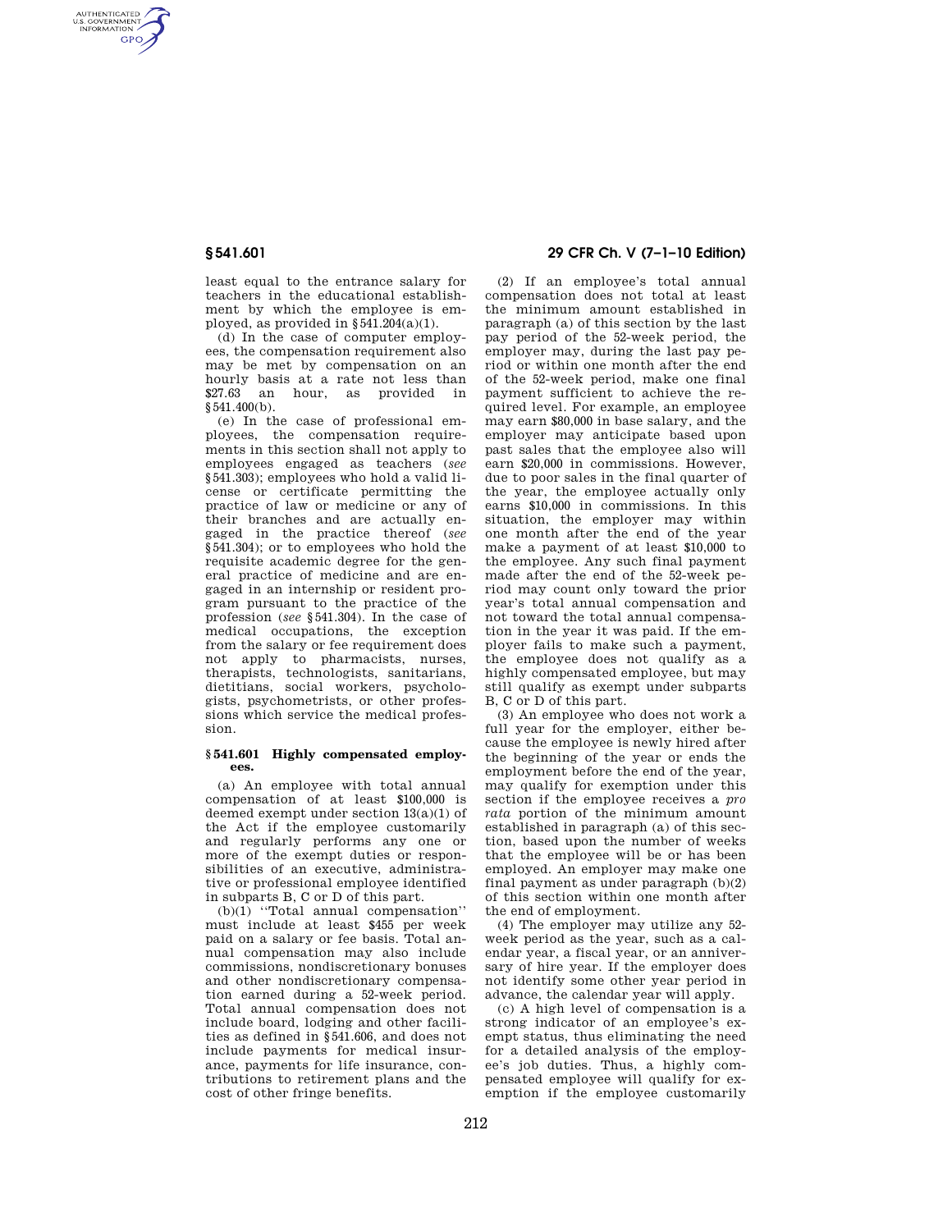AUTHENTICATED<br>U.S. GOVERNMENT<br>INFORMATION **GPO** 

> least equal to the entrance salary for teachers in the educational establishment by which the employee is employed, as provided in  $§541.204(a)(1)$ .

> (d) In the case of computer employees, the compensation requirement also may be met by compensation on an hourly basis at a rate not less than \$27.63 an hour, as provided in §541.400(b).

(e) In the case of professional employees, the compensation requirements in this section shall not apply to employees engaged as teachers (*see*  §541.303); employees who hold a valid license or certificate permitting the practice of law or medicine or any of their branches and are actually engaged in the practice thereof (*see*  §541.304); or to employees who hold the requisite academic degree for the general practice of medicine and are engaged in an internship or resident program pursuant to the practice of the profession (*see* §541.304). In the case of medical occupations, the exception from the salary or fee requirement does not apply to pharmacists, nurses, therapists, technologists, sanitarians, dietitians, social workers, psychologists, psychometrists, or other professions which service the medical profession.

### **§ 541.601 Highly compensated employees.**

(a) An employee with total annual compensation of at least \$100,000 is deemed exempt under section 13(a)(1) of the Act if the employee customarily and regularly performs any one or more of the exempt duties or responsibilities of an executive, administrative or professional employee identified in subparts B, C or D of this part.

(b)(1) ''Total annual compensation'' must include at least \$455 per week paid on a salary or fee basis. Total annual compensation may also include commissions, nondiscretionary bonuses and other nondiscretionary compensation earned during a 52-week period. Total annual compensation does not include board, lodging and other facilities as defined in §541.606, and does not include payments for medical insurance, payments for life insurance, contributions to retirement plans and the cost of other fringe benefits.

# **§ 541.601 29 CFR Ch. V (7–1–10 Edition)**

(2) If an employee's total annual compensation does not total at least the minimum amount established in paragraph (a) of this section by the last pay period of the 52-week period, the employer may, during the last pay period or within one month after the end of the 52-week period, make one final payment sufficient to achieve the required level. For example, an employee may earn \$80,000 in base salary, and the employer may anticipate based upon past sales that the employee also will earn \$20,000 in commissions. However, due to poor sales in the final quarter of the year, the employee actually only earns \$10,000 in commissions. In this situation, the employer may within one month after the end of the year make a payment of at least \$10,000 to the employee. Any such final payment made after the end of the 52-week period may count only toward the prior year's total annual compensation and not toward the total annual compensation in the year it was paid. If the employer fails to make such a payment, the employee does not qualify as a highly compensated employee, but may still qualify as exempt under subparts B, C or D of this part.

(3) An employee who does not work a full year for the employer, either because the employee is newly hired after the beginning of the year or ends the employment before the end of the year, may qualify for exemption under this section if the employee receives a *pro rata* portion of the minimum amount established in paragraph (a) of this section, based upon the number of weeks that the employee will be or has been employed. An employer may make one final payment as under paragraph (b)(2) of this section within one month after the end of employment.

(4) The employer may utilize any 52 week period as the year, such as a calendar year, a fiscal year, or an anniversary of hire year. If the employer does not identify some other year period in advance, the calendar year will apply.

(c) A high level of compensation is a strong indicator of an employee's exempt status, thus eliminating the need for a detailed analysis of the employee's job duties. Thus, a highly compensated employee will qualify for exemption if the employee customarily